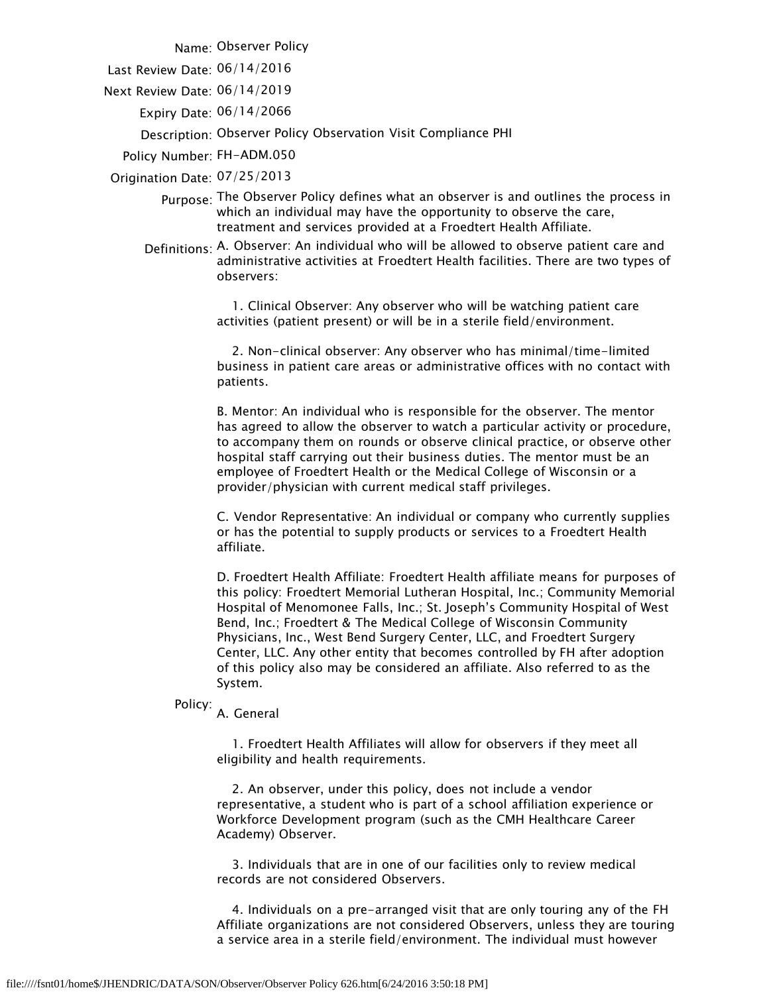Name: Observer Policy

Last Review Date: 06/14/2016

Next Review Date: 06/14/2019

Expiry Date: 06/14/2066

Description: Observer Policy Observation Visit Compliance PHI

Policy Number: FH-ADM.050

Origination Date: 07/25/2013

- Purpose: The Observer Policy defines what an observer is and outlines the process in which an individual may have the opportunity to observe the care, treatment and services provided at a Froedtert Health Affiliate.
- Definitions: A. Observer: An individual who will be allowed to observe patient care and administrative activities at Froedtert Health facilities. There are two types of observers:

 1. Clinical Observer: Any observer who will be watching patient care activities (patient present) or will be in a sterile field/environment.

 2. Non-clinical observer: Any observer who has minimal/time-limited business in patient care areas or administrative offices with no contact with patients.

B. Mentor: An individual who is responsible for the observer. The mentor has agreed to allow the observer to watch a particular activity or procedure, to accompany them on rounds or observe clinical practice, or observe other hospital staff carrying out their business duties. The mentor must be an employee of Froedtert Health or the Medical College of Wisconsin or a provider/physician with current medical staff privileges.

C. Vendor Representative: An individual or company who currently supplies or has the potential to supply products or services to a Froedtert Health affiliate.

D. Froedtert Health Affiliate: Froedtert Health affiliate means for purposes of this policy: Froedtert Memorial Lutheran Hospital, Inc.; Community Memorial Hospital of Menomonee Falls, Inc.; St. Joseph's Community Hospital of West Bend, Inc.; Froedtert & The Medical College of Wisconsin Community Physicians, Inc., West Bend Surgery Center, LLC, and Froedtert Surgery Center, LLC. Any other entity that becomes controlled by FH after adoption of this policy also may be considered an affiliate. Also referred to as the System.

Policy: A. General

 1. Froedtert Health Affiliates will allow for observers if they meet all eligibility and health requirements.

 2. An observer, under this policy, does not include a vendor representative, a student who is part of a school affiliation experience or Workforce Development program (such as the CMH Healthcare Career Academy) Observer.

 3. Individuals that are in one of our facilities only to review medical records are not considered Observers.

 4. Individuals on a pre-arranged visit that are only touring any of the FH Affiliate organizations are not considered Observers, unless they are touring a service area in a sterile field/environment. The individual must however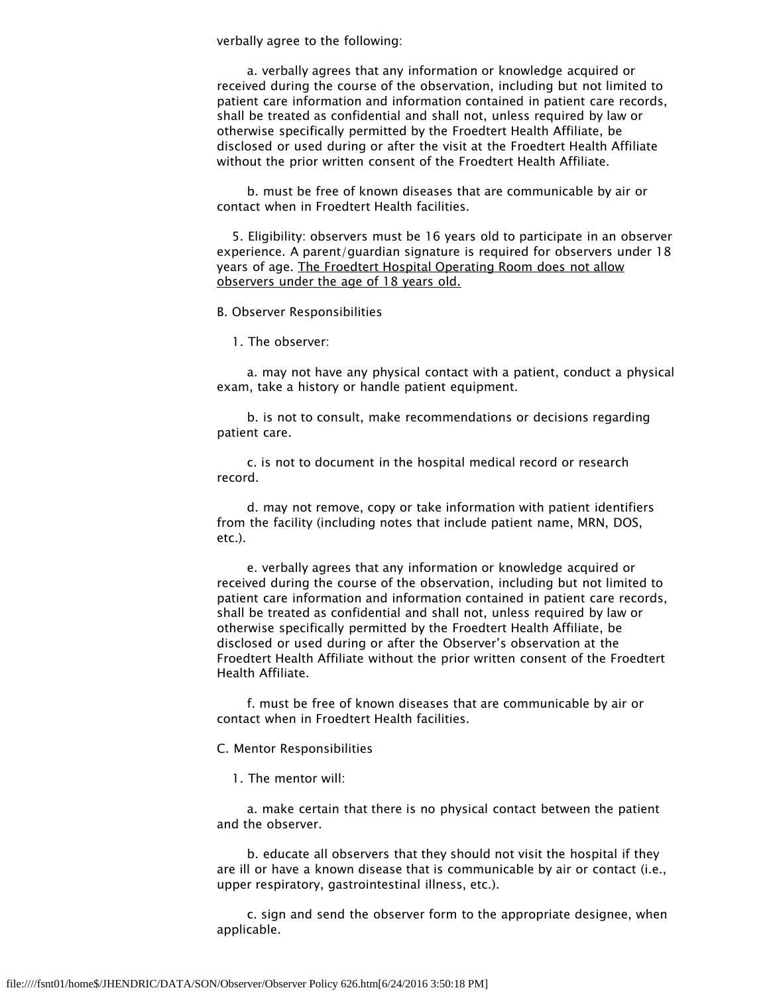verbally agree to the following:

 a. verbally agrees that any information or knowledge acquired or received during the course of the observation, including but not limited to patient care information and information contained in patient care records, shall be treated as confidential and shall not, unless required by law or otherwise specifically permitted by the Froedtert Health Affiliate, be disclosed or used during or after the visit at the Froedtert Health Affiliate without the prior written consent of the Froedtert Health Affiliate.

 b. must be free of known diseases that are communicable by air or contact when in Froedtert Health facilities.

 5. Eligibility: observers must be 16 years old to participate in an observer experience. A parent/guardian signature is required for observers under 18 years of age. The Froedtert Hospital Operating Room does not allow observers under the age of 18 years old.

B. Observer Responsibilities

1. The observer:

 a. may not have any physical contact with a patient, conduct a physical exam, take a history or handle patient equipment.

 b. is not to consult, make recommendations or decisions regarding patient care.

 c. is not to document in the hospital medical record or research record.

 d. may not remove, copy or take information with patient identifiers from the facility (including notes that include patient name, MRN, DOS, etc.).

 e. verbally agrees that any information or knowledge acquired or received during the course of the observation, including but not limited to patient care information and information contained in patient care records, shall be treated as confidential and shall not, unless required by law or otherwise specifically permitted by the Froedtert Health Affiliate, be disclosed or used during or after the Observer's observation at the Froedtert Health Affiliate without the prior written consent of the Froedtert Health Affiliate.

 f. must be free of known diseases that are communicable by air or contact when in Froedtert Health facilities.

C. Mentor Responsibilities

1. The mentor will:

 a. make certain that there is no physical contact between the patient and the observer.

 b. educate all observers that they should not visit the hospital if they are ill or have a known disease that is communicable by air or contact (i.e., upper respiratory, gastrointestinal illness, etc.).

 c. sign and send the observer form to the appropriate designee, when applicable.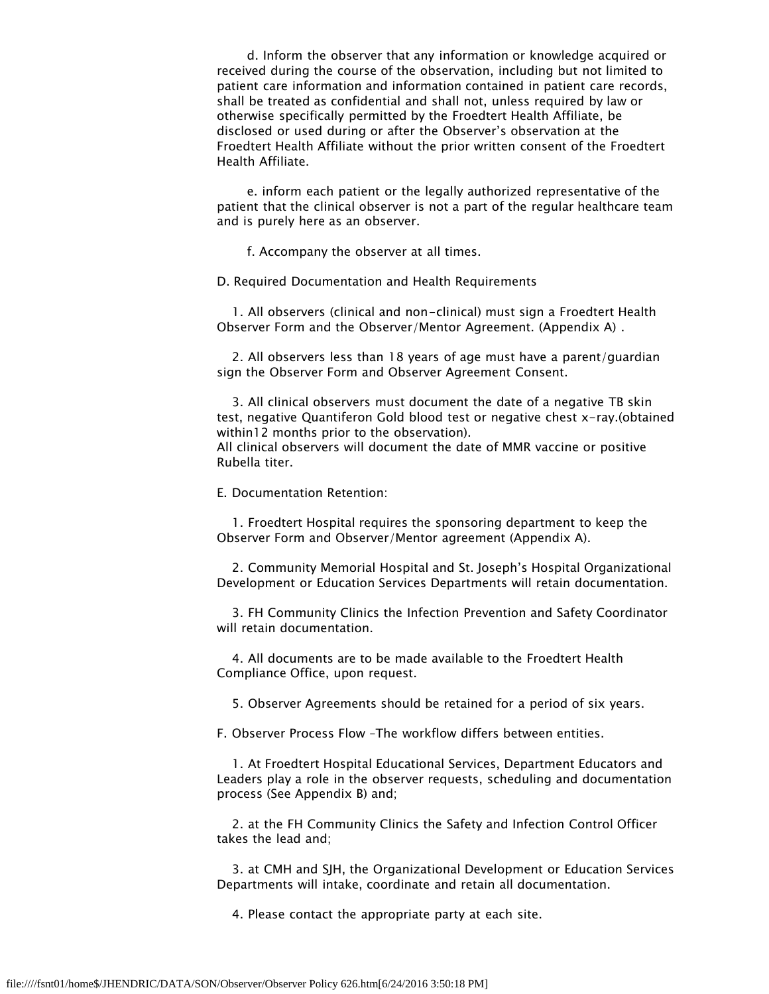d. Inform the observer that any information or knowledge acquired or received during the course of the observation, including but not limited to patient care information and information contained in patient care records, shall be treated as confidential and shall not, unless required by law or otherwise specifically permitted by the Froedtert Health Affiliate, be disclosed or used during or after the Observer's observation at the Froedtert Health Affiliate without the prior written consent of the Froedtert Health Affiliate.

 e. inform each patient or the legally authorized representative of the patient that the clinical observer is not a part of the regular healthcare team and is purely here as an observer.

f. Accompany the observer at all times.

D. Required Documentation and Health Requirements

 1. All observers (clinical and non-clinical) must sign a Froedtert Health Observer Form and the Observer/Mentor Agreement. (Appendix A) .

 2. All observers less than 18 years of age must have a parent/guardian sign the Observer Form and Observer Agreement Consent.

 3. All clinical observers must document the date of a negative TB skin test, negative Quantiferon Gold blood test or negative chest x-ray.(obtained within12 months prior to the observation). All clinical observers will document the date of MMR vaccine or positive

Rubella titer.

E. Documentation Retention:

 1. Froedtert Hospital requires the sponsoring department to keep the Observer Form and Observer/Mentor agreement (Appendix A).

 2. Community Memorial Hospital and St. Joseph's Hospital Organizational Development or Education Services Departments will retain documentation.

 3. FH Community Clinics the Infection Prevention and Safety Coordinator will retain documentation.

 4. All documents are to be made available to the Froedtert Health Compliance Office, upon request.

5. Observer Agreements should be retained for a period of six years.

F. Observer Process Flow –The workflow differs between entities.

 1. At Froedtert Hospital Educational Services, Department Educators and Leaders play a role in the observer requests, scheduling and documentation process (See Appendix B) and;

 2. at the FH Community Clinics the Safety and Infection Control Officer takes the lead and;

 3. at CMH and SJH, the Organizational Development or Education Services Departments will intake, coordinate and retain all documentation.

4. Please contact the appropriate party at each site.